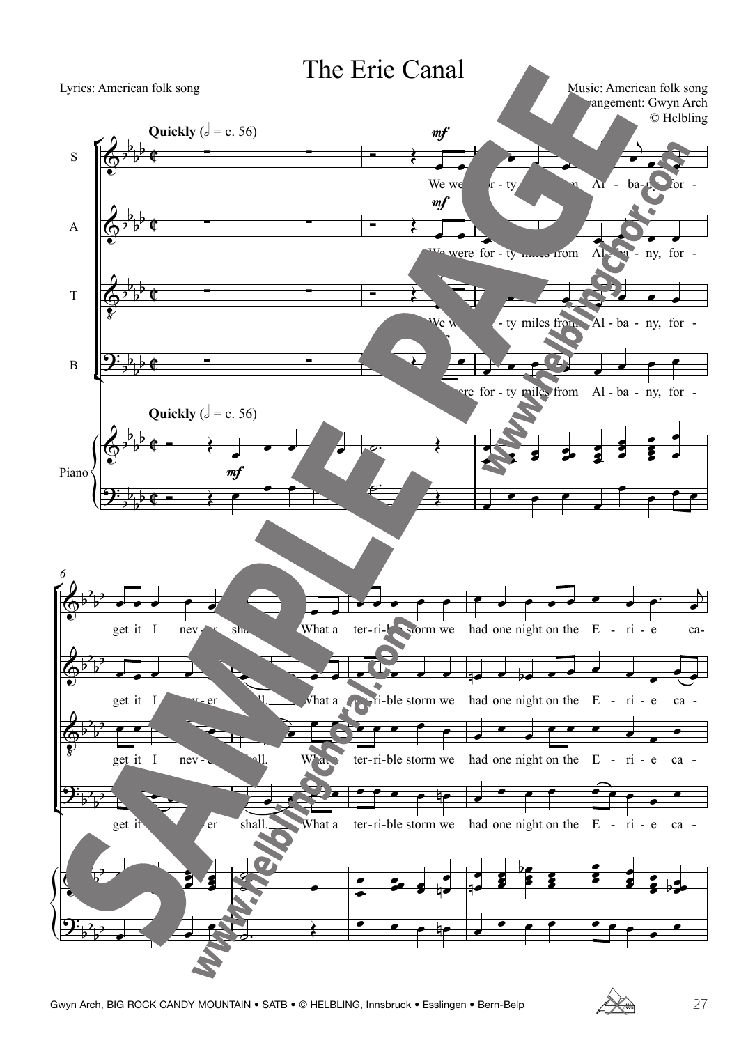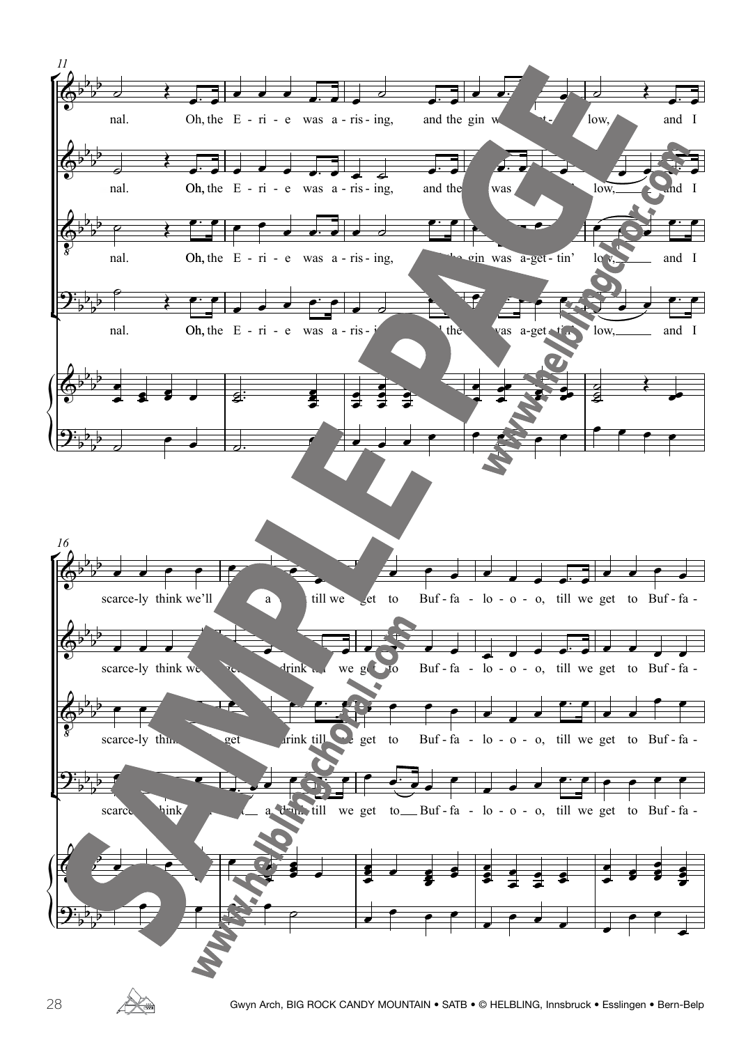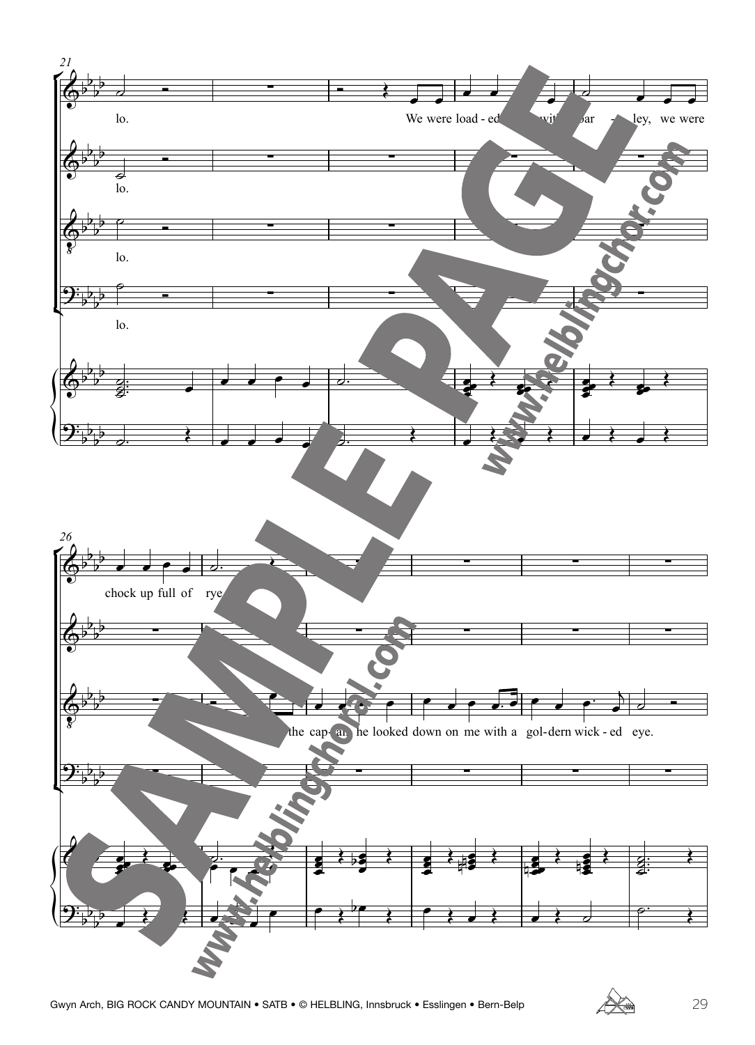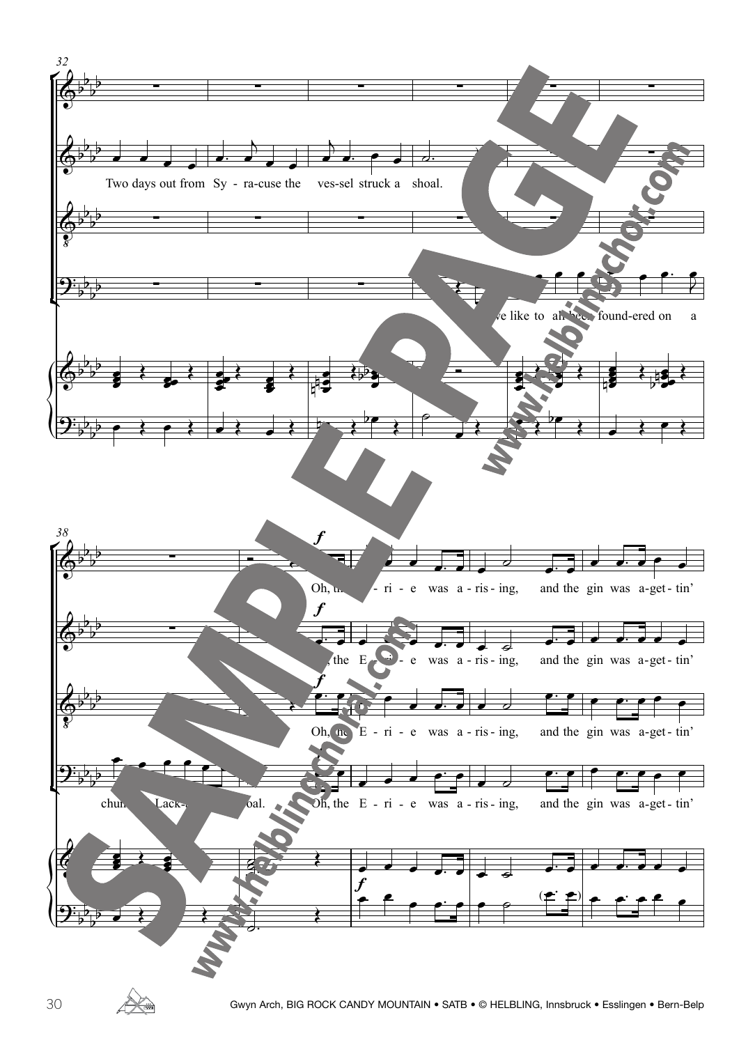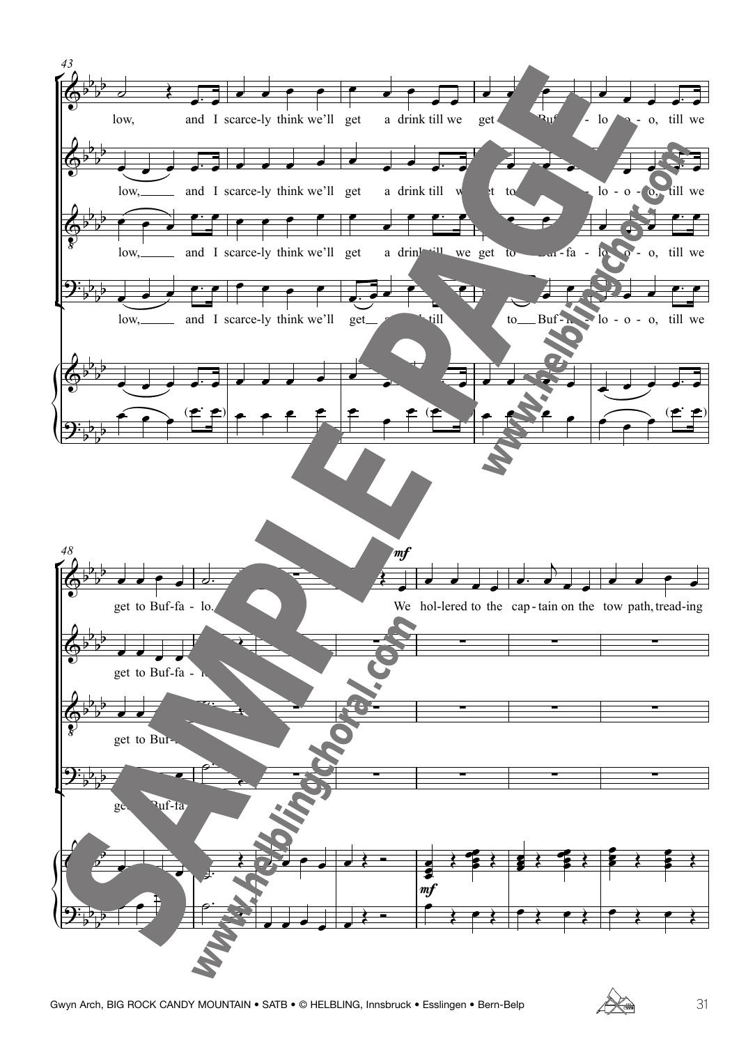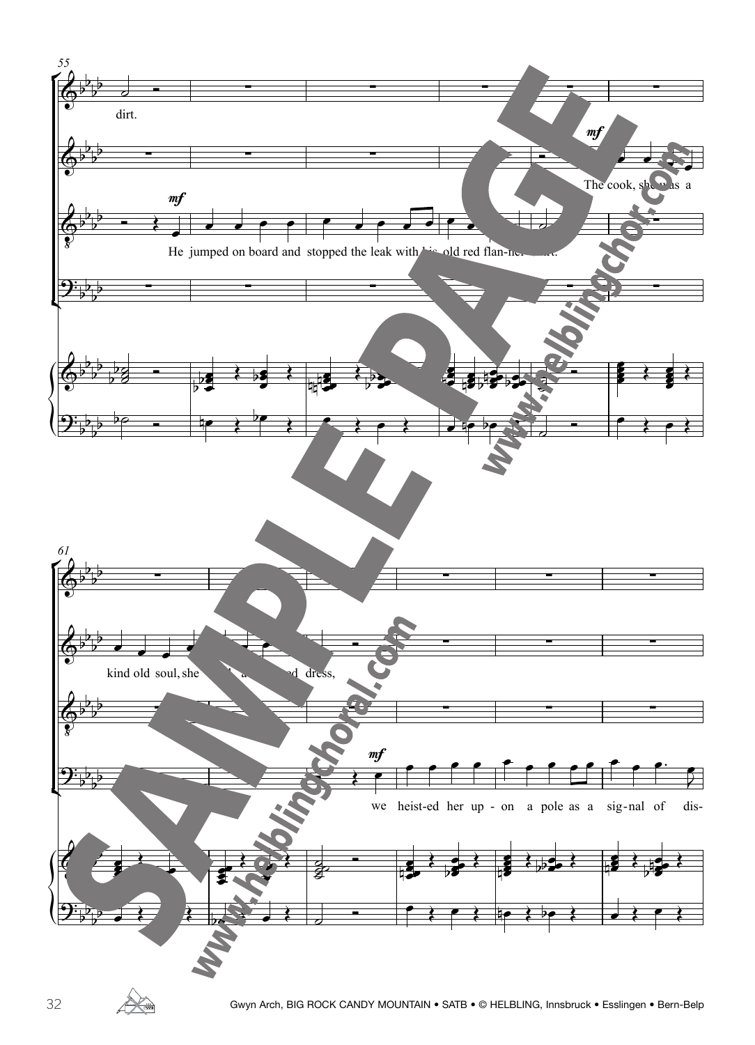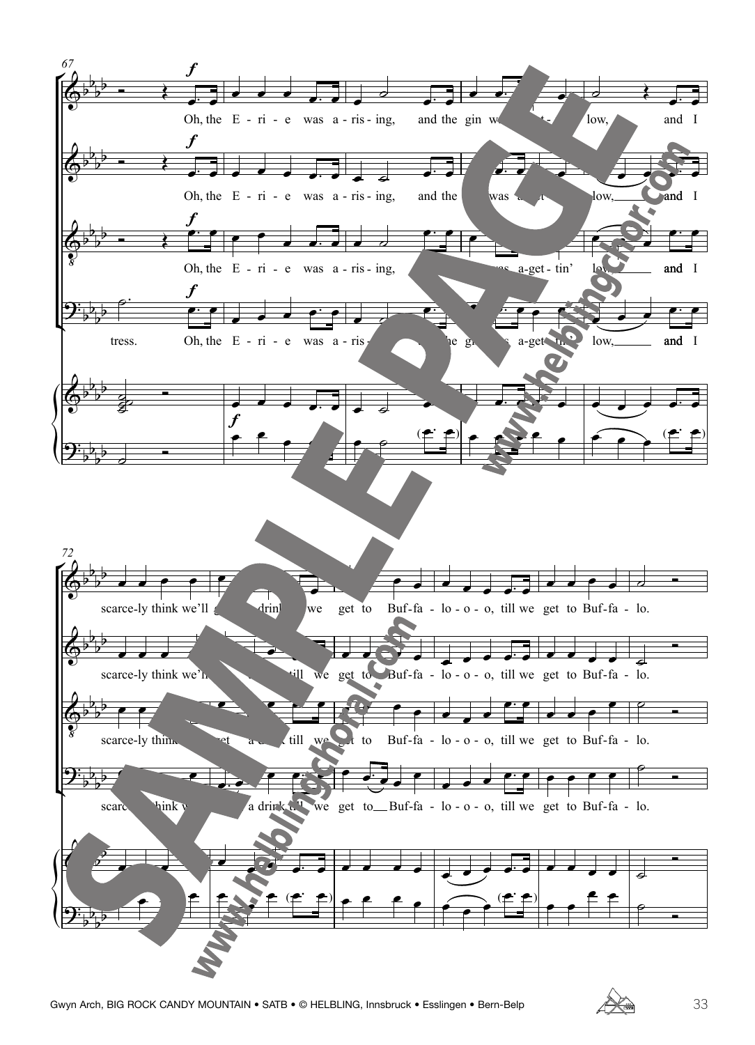